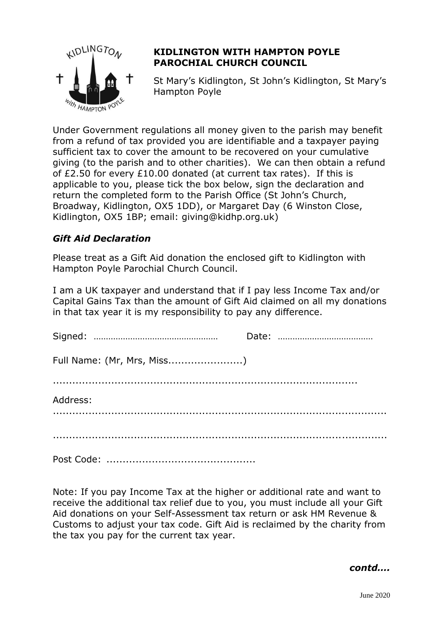

## **KIDLINGTON WITH HAMPTON POYLE PAROCHIAL CHURCH COUNCIL**

St Mary's Kidlington, St John's Kidlington, St Mary's Hampton Poyle

Under Government regulations all money given to the parish may benefit from a refund of tax provided you are identifiable and a taxpayer paying sufficient tax to cover the amount to be recovered on your cumulative giving (to the parish and to other charities). We can then obtain a refund of £2.50 for every £10.00 donated (at current tax rates). If this is applicable to you, please tick the box below, sign the declaration and return the completed form to the Parish Office (St John's Church, Broadway, Kidlington, OX5 1DD), or Margaret Day (6 Winston Close, Kidlington, OX5 1BP; email: giving@kidhp.org.uk)

## *Gift Aid Declaration*

Please treat as a Gift Aid donation the enclosed gift to Kidlington with Hampton Poyle Parochial Church Council.

I am a UK taxpayer and understand that if I pay less Income Tax and/or Capital Gains Tax than the amount of Gift Aid claimed on all my donations in that tax year it is my responsibility to pay any difference.

| Full Name: (Mr, Mrs, Miss) |  |
|----------------------------|--|
|                            |  |
| Address:                   |  |
|                            |  |
|                            |  |

Note: If you pay Income Tax at the higher or additional rate and want to receive the additional tax relief due to you, you must include all your Gift Aid donations on your Self-Assessment tax return or ask HM Revenue & Customs to adjust your tax code. Gift Aid is reclaimed by the charity from the tax you pay for the current tax year.

*contd….*